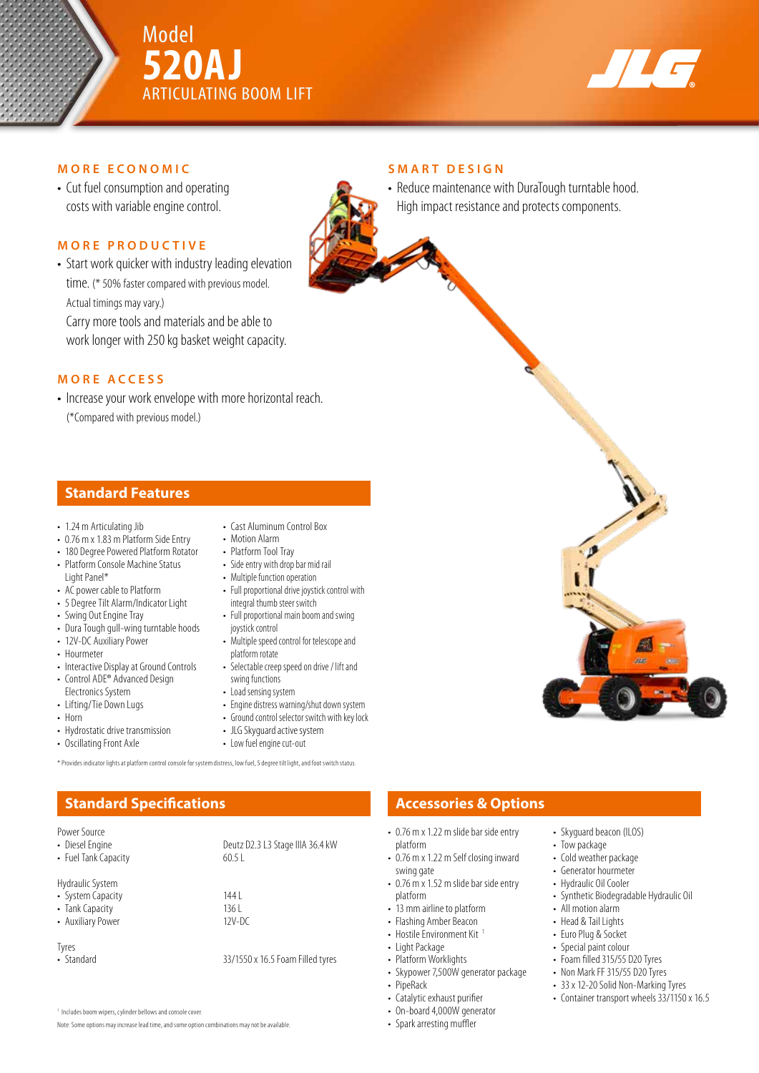



#### **MORE ECONOMIC**

• Cut fuel consumption and operating costs with variable engine control.

#### **MORE PRODUCTIVE**

• Start work quicker with industry leading elevation time. (\* 50% faster compared with previous model. Actual timings may vary.)

Carry more tools and materials and be able to work longer with 250 kg basket weight capacity.

#### **MORE ACCESS**

• Increase your work envelope with more horizontal reach. (\*Compared with previous model.)

#### **Standard Features**

- 1.24 m Articulating Jib
- 0.76 m x 1.83 m Platform Side Entry
- 180 Degree Powered Platform Rotator • Platform Console Machine Status
- Light Panel\*
- AC power cable to Platform
- 5 Degree Tilt Alarm/Indicator Light
- Swing Out Engine Tray
- Dura Tough gull-wing turntable hoods
- 12V-DC Auxiliary Power
- Hourmeter
- Interactive Display at Ground Controls • Control ADE® Advanced Design
- Electronics System
- Lifting/Tie Down Lugs
- Horn
- Hydrostatic drive transmission
- Oscillating Front Axle
- Cast Aluminum Control Box • Motion Alarm
- Platform Tool Tray
- Side entry with drop bar mid rail
- Multiple function operation • Full proportional drive joystick control with
- integral thumb steer switch • Full proportional main boom and swing joystick control
- Multiple speed control for telescope and platform rotate
- Selectable creep speed on drive / lift and swing functions
- Load sensing system
- Engine distress warning/shut down system
- Ground control selector switch with key lock
- JLG Skyguard active system
- Low fuel engine cut-out

\* Provides indicator lights at platform control console for system distress, low fuel, 5 degree tilt light, and foot switch status.

## **Standard Specifications Accessories & Options**

Power Source<br>• Diesel Engine

- 
- Fuel Tank Capacity

Hydraulic System

- System Capacity<br>• Tank Capacity 136 L
- Tank Capacity<br>• Auxiliary Power 12V-DC
- Auxiliary Power

Tyres<br>• Standard

33/1550 x 16.5 Foam Filled tyres

Deutz D2.3 L3 Stage IIIA 36.4 kW<br>60.5 L

<sup>1</sup> Includes boom wipers, cylinder bellows and console cover

Note: Some options may increase lead time, and some option combinations may not be available.

#### **SMART DESIGN**

• Reduce maintenance with DuraTough turntable hood. High impact resistance and protects components.

- 0.76 m x 1.22 m slide bar side entry platform
- 0.76 m x 1.22 m Self closing inward swing gate
- 0.76 m x 1.52 m slide bar side entry platform
- 13 mm airline to platform
- Flashing Amber Beacon
- Hostile Environment Kit<sup>1</sup>
- Light Package
- Platform Worklights
- Skypower 7,500W generator package
- PipeRack
- Catalytic exhaust purifier • On-board 4,000W generator
- Spark arresting muffler
- 
- Skyguard beacon (ILOS)
- Tow package
- Cold weather package
- Generator hourmeter
- Hydraulic Oil Cooler
- Synthetic Biodegradable Hydraulic Oil
- All motion alarm
- Head & Tail Lights
- Euro Plug & Socket
- Special paint colour
- Foam filled 315/55 D20 Tyres
- Non Mark FF 315/55 D20 Tyres
- 33 x 12-20 Solid Non-Marking Tyres
- Container transport wheels 33/1150 x 16.5